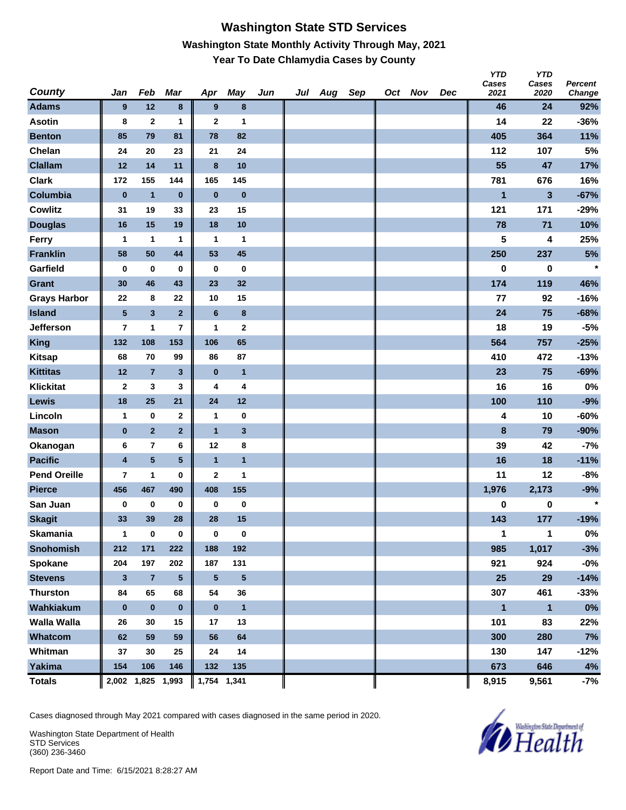#### **Washington State STD Services Washington State Monthly Activity Through May, 2021 Year To Date Chlamydia Cases by County**

| County              | Jan                     | Feb                     | Mar            | Apr             | <b>May</b>   | Jun | Jul | Aug | Sep | Oct Nov | Dec | <b>YTD</b><br>Cases<br>2021 | <b>YTD</b><br>Cases<br>2020 | Percent<br>Change |
|---------------------|-------------------------|-------------------------|----------------|-----------------|--------------|-----|-----|-----|-----|---------|-----|-----------------------------|-----------------------------|-------------------|
| <b>Adams</b>        | 9                       | 12                      | $\bf8$         | 9               | 8            |     |     |     |     |         |     | 46                          | 24                          | 92%               |
| <b>Asotin</b>       | 8                       | $\mathbf{2}$            | 1              | $\mathbf{2}$    | 1            |     |     |     |     |         |     | 14                          | 22                          | $-36%$            |
| <b>Benton</b>       | 85                      | 79                      | 81             | 78              | 82           |     |     |     |     |         |     | 405                         | 364                         | 11%               |
| Chelan              | 24                      | 20                      | 23             | 21              | 24           |     |     |     |     |         |     | 112                         | 107                         | 5%                |
| <b>Clallam</b>      | 12                      | 14                      | 11             | $\bf{8}$        | 10           |     |     |     |     |         |     | 55                          | 47                          | 17%               |
| <b>Clark</b>        | 172                     | 155                     | 144            | 165             | 145          |     |     |     |     |         |     | 781                         | 676                         | 16%               |
| Columbia            | $\bf{0}$                | $\mathbf{1}$            | $\pmb{0}$      | $\bf{0}$        | $\pmb{0}$    |     |     |     |     |         |     | 1                           | 3                           | $-67%$            |
| <b>Cowlitz</b>      | 31                      | 19                      | 33             | 23              | 15           |     |     |     |     |         |     | 121                         | 171                         | $-29%$            |
| <b>Douglas</b>      | 16                      | 15                      | 19             | 18              | 10           |     |     |     |     |         |     | 78                          | 71                          | 10%               |
| Ferry               | 1                       | 1                       | 1              | $\mathbf 1$     | 1            |     |     |     |     |         |     | 5                           | 4                           | 25%               |
| <b>Franklin</b>     | 58                      | 50                      | 44             | 53              | 45           |     |     |     |     |         |     | 250                         | 237                         | $5%$              |
| Garfield            | 0                       | $\bf{0}$                | $\bf{0}$       | 0               | 0            |     |     |     |     |         |     | 0                           | $\pmb{0}$                   | $\star$           |
| Grant               | 30                      | 46                      | 43             | 23              | 32           |     |     |     |     |         |     | 174                         | 119                         | 46%               |
| <b>Grays Harbor</b> | 22                      | 8                       | 22             | 10              | 15           |     |     |     |     |         |     | 77                          | 92                          | $-16%$            |
| <b>Island</b>       | $\overline{\mathbf{5}}$ | $\overline{\mathbf{3}}$ | $\overline{2}$ | $6\phantom{1}6$ | 8            |     |     |     |     |         |     | 24                          | 75                          | $-68%$            |
| <b>Jefferson</b>    | 7                       | 1                       | 7              | 1               | 2            |     |     |     |     |         |     | 18                          | 19                          | $-5%$             |
| <b>King</b>         | 132                     | 108                     | 153            | 106             | 65           |     |     |     |     |         |     | 564                         | 757                         | $-25%$            |
| <b>Kitsap</b>       | 68                      | 70                      | 99             | 86              | 87           |     |     |     |     |         |     | 410                         | 472                         | $-13%$            |
| <b>Kittitas</b>     | 12                      | $\overline{7}$          | 3              | $\bf{0}$        | $\mathbf{1}$ |     |     |     |     |         |     | 23                          | 75                          | $-69%$            |
| Klickitat           | 2                       | 3                       | 3              | 4               | 4            |     |     |     |     |         |     | 16                          | 16                          | 0%                |
| Lewis               | 18                      | 25                      | 21             | 24              | 12           |     |     |     |     |         |     | 100                         | 110                         | $-9%$             |
| Lincoln             | 1                       | $\bf{0}$                | 2              | 1               | $\bf{0}$     |     |     |     |     |         |     | 4                           | 10                          | $-60%$            |
| <b>Mason</b>        | $\bf{0}$                | $\overline{2}$          | $\overline{2}$ | $\overline{1}$  | 3            |     |     |     |     |         |     | $\pmb{8}$                   | 79                          | $-90%$            |
| Okanogan            | 6                       | $\bf 7$                 | 6              | 12              | 8            |     |     |     |     |         |     | 39                          | 42                          | $-7%$             |
| <b>Pacific</b>      | $\overline{\mathbf{4}}$ | $\overline{\mathbf{5}}$ | 5              | $\overline{1}$  | $\mathbf{1}$ |     |     |     |     |         |     | 16                          | 18                          | $-11%$            |
| <b>Pend Oreille</b> | 7                       | $\mathbf{1}$            | 0              | $\mathbf 2$     | 1            |     |     |     |     |         |     | 11                          | 12                          | $-8%$             |
| <b>Pierce</b>       | 456                     | 467                     | 490            | 408             | 155          |     |     |     |     |         |     | 1,976                       | 2,173                       | $-9%$             |
| San Juan            | 0                       | $\pmb{0}$               | $\bf{0}$       | $\pmb{0}$       | $\pmb{0}$    |     |     |     |     |         |     | 0                           | $\bf{0}$                    | $\star$           |
| <b>Skagit</b>       | 33                      | 39                      | 28             | 28              | 15           |     |     |     |     |         |     | 143                         | 177                         | $-19%$            |
| <b>Skamania</b>     | 1                       | $\bf{0}$                | 0              | $\bf{0}$        | $\bf{0}$     |     |     |     |     |         |     | 1                           | 1                           | $0\%$             |
| <b>Snohomish</b>    | 212                     | 171                     | 222            | 188             | 192          |     |     |     |     |         |     | 985                         | 1,017                       | $-3%$             |
| Spokane             | 204                     | 197                     | 202            | 187             | 131          |     |     |     |     |         |     | 921                         | 924                         | $-0\%$            |
| <b>Stevens</b>      | $\mathbf{3}$            | $\overline{7}$          | 5              | $5\phantom{.0}$ | 5            |     |     |     |     |         |     | 25                          | 29                          | $-14%$            |
| <b>Thurston</b>     | 84                      | 65                      | 68             | 54              | 36           |     |     |     |     |         |     | 307                         | 461                         | $-33%$            |
| Wahkiakum           | $\bf{0}$                | $\pmb{0}$               | $\pmb{0}$      | $\bf{0}$        | $\mathbf{1}$ |     |     |     |     |         |     | $\mathbf{1}$                | $\overline{1}$              | $0\%$             |
| <b>Walla Walla</b>  | 26                      | 30                      | 15             | 17              | 13           |     |     |     |     |         |     | 101                         | 83                          | 22%               |
| Whatcom             | 62                      | 59                      | 59             | 56              | 64           |     |     |     |     |         |     | 300                         | 280                         | 7%                |
| Whitman             | 37                      | 30                      | 25             | 24              | 14           |     |     |     |     |         |     | 130                         | 147                         | $-12%$            |
| <b>Yakima</b>       | 154                     | 106                     | 146            | 132             | 135          |     |     |     |     |         |     | 673                         | 646                         | 4%                |
| <b>Totals</b>       |                         | 2,002 1,825 1,993       |                | 1,754 1,341     |              |     |     |     |     |         |     | 8,915                       | 9,561                       | $-7%$             |

Cases diagnosed through May 2021 compared with cases diagnosed in the same period in 2020.

Washington State Department of Health STD Services (360) 236-3460

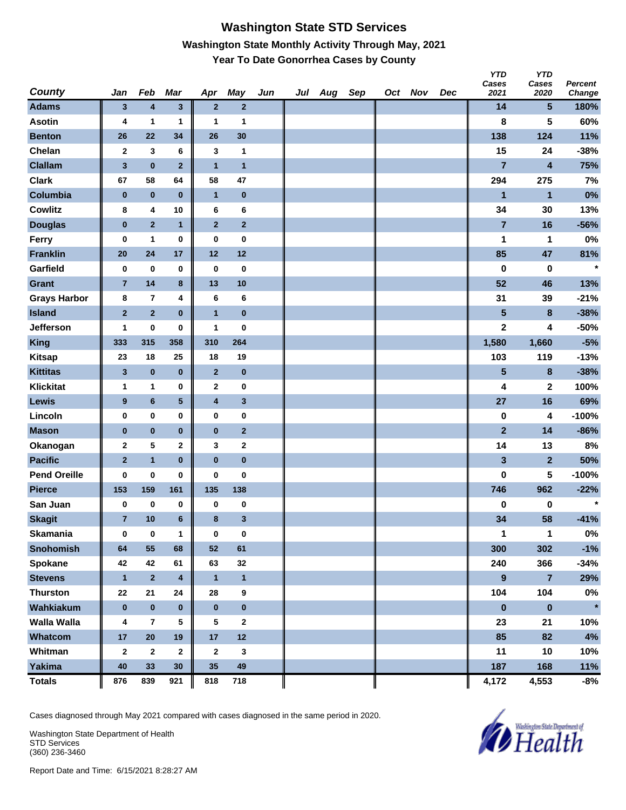## **Washington State STD Services Washington State Monthly Activity Through May, 2021 Year To Date Gonorrhea Cases by County**

| <b>County</b>       | Jan            | Feb            | Mar                     | Apr              | May                     | Jun | Jul Aug | Sep | Oct Nov | Dec | <b>YTD</b><br>Cases<br>2021 | <b>YTD</b><br>Cases<br>2020 | Percent<br>Change |
|---------------------|----------------|----------------|-------------------------|------------------|-------------------------|-----|---------|-----|---------|-----|-----------------------------|-----------------------------|-------------------|
| <b>Adams</b>        | 3              | 4              | $\mathbf{3}$            | $\overline{2}$   | $\mathbf 2$             |     |         |     |         |     | 14                          | $5\phantom{.0}$             | 180%              |
| <b>Asotin</b>       | 4              | 1              | 1                       | 1                | 1                       |     |         |     |         |     | 8                           | 5                           | 60%               |
| <b>Benton</b>       | 26             | 22             | 34                      | 26               | 30                      |     |         |     |         |     | 138                         | 124                         | 11%               |
| Chelan              | $\mathbf{2}$   | 3              | 6                       | 3                | 1                       |     |         |     |         |     | 15                          | 24                          | $-38%$            |
| <b>Clallam</b>      | $\mathbf 3$    | $\pmb{0}$      | $\overline{2}$          | $\mathbf{1}$     | $\mathbf{1}$            |     |         |     |         |     | $\overline{7}$              | $\overline{\mathbf{4}}$     | 75%               |
| <b>Clark</b>        | 67             | 58             | 64                      | 58               | 47                      |     |         |     |         |     | 294                         | 275                         | 7%                |
| Columbia            | $\pmb{0}$      | $\pmb{0}$      | $\bf{0}$                | $\mathbf{1}$     | $\pmb{0}$               |     |         |     |         |     | $\blacksquare$              | $\mathbf{1}$                | 0%                |
| <b>Cowlitz</b>      | 8              | 4              | 10                      | 6                | 6                       |     |         |     |         |     | 34                          | 30                          | 13%               |
| <b>Douglas</b>      | $\bf{0}$       | $\overline{2}$ | $\mathbf{1}$            | $\mathbf{2}$     | $\overline{2}$          |     |         |     |         |     | $\overline{7}$              | 16                          | $-56%$            |
| Ferry               | 0              | 1              | 0                       | 0                | $\bf{0}$                |     |         |     |         |     | 1                           | 1                           | 0%                |
| <b>Franklin</b>     | ${\bf 20}$     | 24             | 17                      | 12               | 12                      |     |         |     |         |     | 85                          | 47                          | 81%               |
| Garfield            | 0              | $\bf{0}$       | $\bf{0}$                | $\bf{0}$         | $\bf{0}$                |     |         |     |         |     | $\bf{0}$                    | 0                           | $\star$           |
| <b>Grant</b>        | $\overline{7}$ | 14             | $\bf8$                  | 13               | 10                      |     |         |     |         |     | 52                          | 46                          | 13%               |
| <b>Grays Harbor</b> | 8              | $\overline{7}$ | 4                       | 6                | 6                       |     |         |     |         |     | 31                          | 39                          | $-21%$            |
| <b>Island</b>       | $\mathbf 2$    | $\mathbf 2$    | $\bf{0}$                | $\mathbf{1}$     | $\pmb{0}$               |     |         |     |         |     | $\overline{\mathbf{5}}$     | 8                           | $-38%$            |
| Jefferson           | 1              | 0              | $\bf{0}$                | 1                | 0                       |     |         |     |         |     | $\mathbf 2$                 | 4                           | $-50%$            |
| <b>King</b>         | 333            | 315            | 358                     | 310              | 264                     |     |         |     |         |     | 1,580                       | 1,660                       | $-5%$             |
| <b>Kitsap</b>       | 23             | 18             | 25                      | 18               | 19                      |     |         |     |         |     | 103                         | 119                         | $-13%$            |
| <b>Kittitas</b>     | $\mathbf{3}$   | $\pmb{0}$      | $\pmb{0}$               | $\mathbf{2}$     | $\pmb{0}$               |     |         |     |         |     | 5                           | 8                           | $-38%$            |
| <b>Klickitat</b>    | 1              | 1              | 0                       | $\mathbf{2}$     | $\bf{0}$                |     |         |     |         |     | 4                           | $\mathbf 2$                 | 100%              |
| Lewis               | 9              | 6              | $\overline{\mathbf{5}}$ | 4                | $\mathbf{3}$            |     |         |     |         |     | 27                          | 16                          | 69%               |
| Lincoln             | 0              | $\pmb{0}$      | $\bf{0}$                | 0                | $\pmb{0}$               |     |         |     |         |     | $\pmb{0}$                   | 4                           | $-100%$           |
| <b>Mason</b>        | $\pmb{0}$      | $\pmb{0}$      | $\bf{0}$                | $\pmb{0}$        | $\overline{\mathbf{2}}$ |     |         |     |         |     | $\mathbf{2}$                | 14                          | $-86%$            |
| Okanogan            | $\mathbf 2$    | 5              | $\mathbf 2$             | 3                | $\bf{2}$                |     |         |     |         |     | 14                          | 13                          | 8%                |
| <b>Pacific</b>      | $\overline{2}$ | $\mathbf{1}$   | $\bf{0}$                | $\pmb{0}$        | $\pmb{0}$               |     |         |     |         |     | 3                           | $\overline{2}$              | 50%               |
| <b>Pend Oreille</b> | 0              | 0              | $\bf{0}$                | 0                | 0                       |     |         |     |         |     | $\bf{0}$                    | 5                           | $-100%$           |
| <b>Pierce</b>       | 153            | 159            | 161                     | 135              | 138                     |     |         |     |         |     | 746                         | 962                         | $-22%$            |
| San Juan            | 0              | 0              | 0                       | 0                | 0                       |     |         |     |         |     | 0                           | 0                           | $\star$           |
| <b>Skagit</b>       | $\overline{7}$ | 10             | $6\phantom{1}$          | 8                | $\mathbf{3}$            |     |         |     |         |     | 34                          | 58                          | $-41%$            |
| <b>Skamania</b>     | 0              | $\bf{0}$       | 1                       | $\bf{0}$         | $\pmb{0}$               |     |         |     |         |     | 1                           | $\mathbf{1}$                | $0\%$             |
| <b>Snohomish</b>    | 64             | 55             | 68                      | 52               | 61                      |     |         |     |         |     | 300                         | 302                         | $-1%$             |
| Spokane             | 42             | 42             | 61                      | 63               | 32                      |     |         |     |         |     | 240                         | 366                         | $-34%$            |
| <b>Stevens</b>      | $\mathbf{1}$   | $\mathbf 2$    | $\overline{\mathbf{4}}$ | $\mathbf{1}$     | $\mathbf{1}$            |     |         |     |         |     | 9                           | $\overline{7}$              | 29%               |
| <b>Thurston</b>     | 22             | 21             | 24                      | 28               | 9                       |     |         |     |         |     | 104                         | 104                         | $0\%$             |
| Wahkiakum           | $\pmb{0}$      | $\pmb{0}$      | $\pmb{0}$               | $\bf{0}$         | $\pmb{0}$               |     |         |     |         |     | $\pmb{0}$                   | $\pmb{0}$                   | $\star$           |
| <b>Walla Walla</b>  | 4              | 7              | 5                       | 5                | $\mathbf{2}$            |     |         |     |         |     | 23                          | 21                          | 10%               |
| Whatcom             | 17             | 20             | 19                      | 17               | 12                      |     |         |     |         |     | 85                          | 82                          | $4\%$             |
| Whitman             | $\mathbf{2}$   | $\mathbf{2}$   | $\mathbf 2$             | $\mathbf{2}$     | 3                       |     |         |     |         |     | 11                          | 10                          | 10%               |
| <b>Yakima</b>       | 40             | 33             | 30                      | $35\phantom{.0}$ | 49                      |     |         |     |         |     | 187                         | 168                         | 11%               |
| <b>Totals</b>       | 876            | 839            | 921                     | 818              | 718                     |     |         |     |         |     | 4,172                       | 4,553                       | -8%               |

Cases diagnosed through May 2021 compared with cases diagnosed in the same period in 2020.

Washington State Department of Health STD Services (360) 236-3460

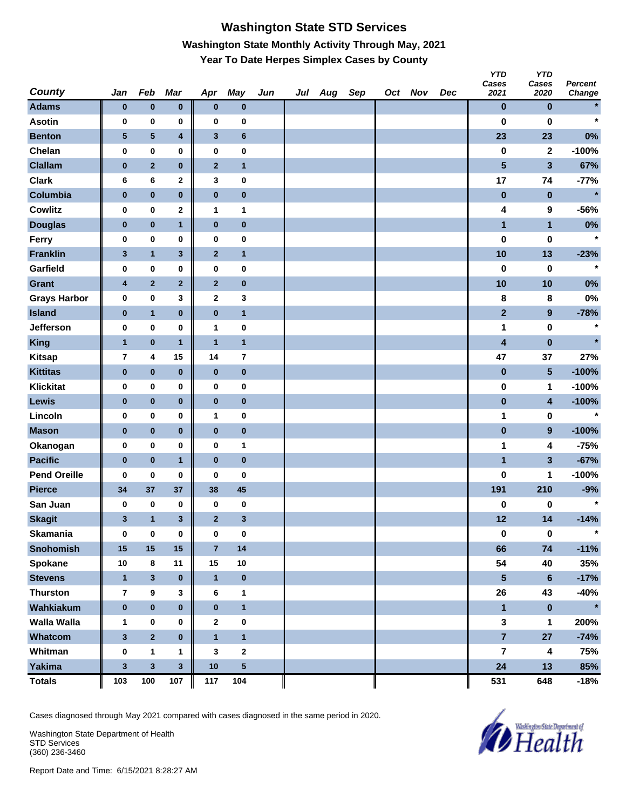# **Washington State STD Services Washington State Monthly Activity Through May, 2021 Year To Date Herpes Simplex Cases by County**

| <b>County</b>       | Jan                     | Feb            | Mar                     | Apr                     | <b>May</b>              | Jun | Jul Aug | Sep | Oct Nov | Dec | <b>YTD</b><br>Cases<br>2021 | <b>YTD</b><br>Cases<br>2020 | Percent<br>Change |
|---------------------|-------------------------|----------------|-------------------------|-------------------------|-------------------------|-----|---------|-----|---------|-----|-----------------------------|-----------------------------|-------------------|
| <b>Adams</b>        | $\bf{0}$                | $\pmb{0}$      | $\pmb{0}$               | $\bf{0}$                | $\pmb{0}$               |     |         |     |         |     | $\bf{0}$                    | $\bf{0}$                    | $\star$           |
| <b>Asotin</b>       | 0                       | $\pmb{0}$      | 0                       | 0                       | $\bf{0}$                |     |         |     |         |     | $\bf{0}$                    | $\bf{0}$                    | $\star$           |
| <b>Benton</b>       | $\sqrt{5}$              | 5              | $\overline{\mathbf{4}}$ | $\mathbf{3}$            | $\boldsymbol{6}$        |     |         |     |         |     | 23                          | 23                          | 0%                |
| Chelan              | 0                       | $\pmb{0}$      | 0                       | 0                       | $\pmb{0}$               |     |         |     |         |     | $\pmb{0}$                   | $\mathbf{2}$                | $-100%$           |
| <b>Clallam</b>      | $\pmb{0}$               | $\overline{2}$ | $\bf{0}$                | $\mathbf{2}$            | $\mathbf{1}$            |     |         |     |         |     | $\overline{\mathbf{5}}$     | $\mathbf{3}$                | 67%               |
| <b>Clark</b>        | 6                       | 6              | $\mathbf 2$             | 3                       | 0                       |     |         |     |         |     | 17                          | 74                          | $-77%$            |
| Columbia            | $\pmb{0}$               | $\pmb{0}$      | $\pmb{0}$               | $\pmb{0}$               | $\pmb{0}$               |     |         |     |         |     | $\pmb{0}$                   | $\pmb{0}$                   | $\star$           |
| <b>Cowlitz</b>      | 0                       | $\bf{0}$       | $\mathbf 2$             | $\mathbf{1}$            | $\mathbf{1}$            |     |         |     |         |     | 4                           | 9                           | $-56%$            |
| <b>Douglas</b>      | $\bf{0}$                | $\pmb{0}$      | $\mathbf{1}$            | $\bf{0}$                | $\pmb{0}$               |     |         |     |         |     | $\mathbf{1}$                | $\mathbf{1}$                | 0%                |
| Ferry               | 0                       | $\pmb{0}$      | 0                       | $\bf{0}$                | $\pmb{0}$               |     |         |     |         |     | 0                           | 0                           | $\star$           |
| <b>Franklin</b>     | $\mathbf{3}$            | $\mathbf{1}$   | $\mathbf 3$             | $\mathbf{2}$            | $\mathbf{1}$            |     |         |     |         |     | 10                          | 13                          | $-23%$            |
| Garfield            | 0                       | $\pmb{0}$      | 0                       | 0                       | $\pmb{0}$               |     |         |     |         |     | $\bf{0}$                    | 0                           | $\star$           |
| <b>Grant</b>        | 4                       | $\overline{2}$ | $\overline{\mathbf{2}}$ | $\mathbf{2}$            | $\pmb{0}$               |     |         |     |         |     | 10                          | 10                          | 0%                |
| <b>Grays Harbor</b> | 0                       | $\pmb{0}$      | 3                       | $\mathbf{2}$            | $\mathbf 3$             |     |         |     |         |     | 8                           | 8                           | 0%                |
| <b>Island</b>       | $\pmb{0}$               | $\mathbf{1}$   | $\bf{0}$                | $\pmb{0}$               | $\overline{\mathbf{1}}$ |     |         |     |         |     | $\overline{2}$              | $\boldsymbol{9}$            | $-78%$            |
| Jefferson           | 0                       | 0              | 0                       | 1                       | 0                       |     |         |     |         |     | 1                           | 0                           | $\star$           |
| <b>King</b>         | $\overline{1}$          | $\pmb{0}$      | $\mathbf{1}$            | $\mathbf{1}$            | $\mathbf{1}$            |     |         |     |         |     | $\overline{\mathbf{4}}$     | $\pmb{0}$                   | $\star$           |
| <b>Kitsap</b>       | $\overline{\mathbf{r}}$ | 4              | 15                      | 14                      | $\overline{7}$          |     |         |     |         |     | 47                          | 37                          | 27%               |
| <b>Kittitas</b>     | $\bf{0}$                | $\pmb{0}$      | $\pmb{0}$               | $\bf{0}$                | $\pmb{0}$               |     |         |     |         |     | $\pmb{0}$                   | $5\phantom{.0}$             | $-100%$           |
| <b>Klickitat</b>    | 0                       | $\pmb{0}$      | 0                       | $\bf{0}$                | $\pmb{0}$               |     |         |     |         |     | 0                           | 1                           | $-100%$           |
| Lewis               | $\bf{0}$                | $\pmb{0}$      | $\pmb{0}$               | $\bf{0}$                | $\pmb{0}$               |     |         |     |         |     | $\pmb{0}$                   | $\overline{\mathbf{4}}$     | $-100%$           |
| Lincoln             | 0                       | $\pmb{0}$      | 0                       | 1                       | $\pmb{0}$               |     |         |     |         |     | 1                           | 0                           | $\star$           |
| <b>Mason</b>        | $\bf{0}$                | $\pmb{0}$      | $\pmb{0}$               | $\pmb{0}$               | $\pmb{0}$               |     |         |     |         |     | $\pmb{0}$                   | $\boldsymbol{9}$            | $-100%$           |
| Okanogan            | 0                       | $\pmb{0}$      | 0                       | 0                       | $\mathbf{1}$            |     |         |     |         |     | 1                           | 4                           | $-75%$            |
| <b>Pacific</b>      | $\pmb{0}$               | $\pmb{0}$      | $\mathbf{1}$            | $\pmb{0}$               | $\pmb{0}$               |     |         |     |         |     | $\mathbf{1}$                | $\mathbf{3}$                | $-67%$            |
| <b>Pend Oreille</b> | 0                       | 0              | 0                       | 0                       | 0                       |     |         |     |         |     | $\bf{0}$                    | 1                           | $-100%$           |
| <b>Pierce</b>       | 34                      | 37             | 37                      | 38                      | 45                      |     |         |     |         |     | 191                         | 210                         | $-9%$             |
| San Juan            | 0                       | 0              | 0                       | 0                       | 0                       |     |         |     |         |     | 0                           | 0                           | $\star$           |
| <b>Skagit</b>       | 3                       | $\mathbf{1}$   | 3                       | $\overline{2}$          | $\mathbf{3}$            |     |         |     |         |     | 12                          | 14                          | $-14%$            |
| <b>Skamania</b>     | $\bf{0}$                | $\bf{0}$       | $\pmb{0}$               | $\bf{0}$                | $\pmb{0}$               |     |         |     |         |     | $\pmb{0}$                   | $\pmb{0}$                   | $\star$           |
| <b>Snohomish</b>    | 15                      | 15             | 15                      | $\overline{\mathbf{7}}$ | 14                      |     |         |     |         |     | 66                          | $74$                        | $-11%$            |
| Spokane             | 10                      | 8              | 11                      | 15                      | 10                      |     |         |     |         |     | 54                          | 40                          | 35%               |
| <b>Stevens</b>      | $\mathbf{1}$            | $\mathbf{3}$   | $\pmb{0}$               | $\mathbf{1}$            | $\pmb{0}$               |     |         |     |         |     | 5                           | $\bf 6$                     | $-17%$            |
| <b>Thurston</b>     | $\overline{7}$          | $\pmb{9}$      | 3                       | 6                       | $\mathbf{1}$            |     |         |     |         |     | 26                          | 43                          | $-40%$            |
| Wahkiakum           | $\pmb{0}$               | $\pmb{0}$      | $\pmb{0}$               | $\pmb{0}$               | $\mathbf{1}$            |     |         |     |         |     | $\blacksquare$              | $\pmb{0}$                   | $\star$           |
| <b>Walla Walla</b>  | 1                       | 0              | 0                       | $\mathbf{2}$            | $\mathbf 0$             |     |         |     |         |     | $\mathbf{3}$                | 1                           | 200%              |
| Whatcom             | $\mathbf{3}$            | $\overline{2}$ | $\pmb{0}$               | $\mathbf{1}$            | $\mathbf{1}$            |     |         |     |         |     | $\overline{7}$              | 27                          | $-74%$            |
| Whitman             | $\bf{0}$                | $\mathbf{1}$   | 1                       | 3                       | $\boldsymbol{2}$        |     |         |     |         |     | 7                           | 4                           | 75%               |
| <b>Yakima</b>       | $\mathbf 3$             | $\mathbf{3}$   | $\overline{\mathbf{3}}$ | $10$                    | ${\bf 5}$               |     |         |     |         |     | 24                          | 13                          | 85%               |
| <b>Totals</b>       | 103                     | 100            | 107                     | 117                     | 104                     |     |         |     |         |     | 531                         | 648                         | $-18%$            |

Cases diagnosed through May 2021 compared with cases diagnosed in the same period in 2020.

Washington State Department of Health STD Services (360) 236-3460

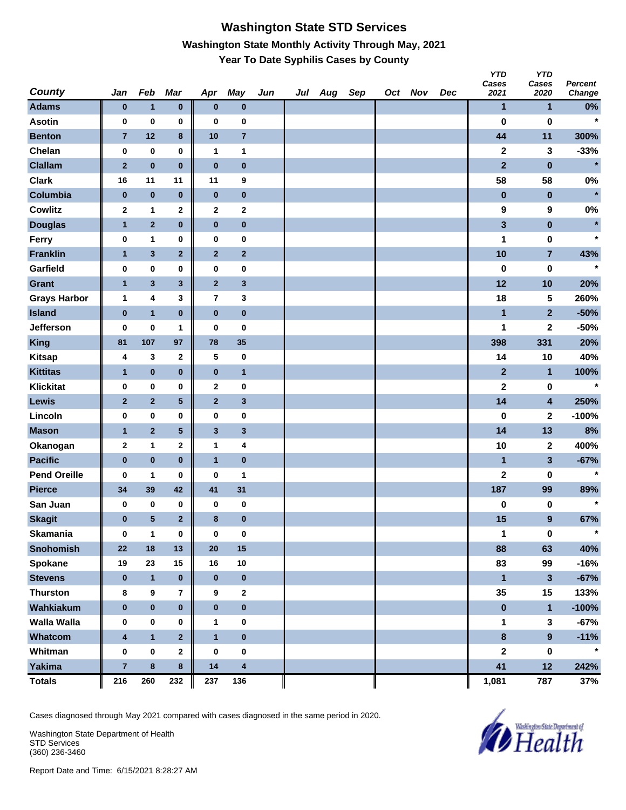#### **Washington State STD Services Washington State Monthly Activity Through May, 2021 Year To Date Syphilis Cases by County**

| <b>County</b>       | Jan              | Feb              | Mar            | Apr            | May                     | Jun | Jul | Aug | Sep | Oct Nov | Dec | <b>YTD</b><br>Cases<br>2021 | <b>YTD</b><br>Cases<br>2020 | Percent<br>Change |
|---------------------|------------------|------------------|----------------|----------------|-------------------------|-----|-----|-----|-----|---------|-----|-----------------------------|-----------------------------|-------------------|
| <b>Adams</b>        | $\pmb{0}$        | $\mathbf{1}$     | $\pmb{0}$      | $\bf{0}$       | $\pmb{0}$               |     |     |     |     |         |     | $\mathbf{1}$                | $\mathbf{1}$                | $0\%$             |
| <b>Asotin</b>       | 0                | $\pmb{0}$        | 0              | 0              | 0                       |     |     |     |     |         |     | $\bf{0}$                    | $\pmb{0}$                   | $\star$           |
| <b>Benton</b>       | $\overline{7}$   | 12               | 8              | 10             | $\overline{7}$          |     |     |     |     |         |     | 44                          | 11                          | 300%              |
| Chelan              | $\pmb{0}$        | 0                | 0              | $\mathbf{1}$   | 1                       |     |     |     |     |         |     | $\mathbf{2}$                | 3                           | $-33%$            |
| <b>Clallam</b>      | $\mathbf 2$      | $\pmb{0}$        | $\pmb{0}$      | $\bf{0}$       | $\pmb{0}$               |     |     |     |     |         |     | $\overline{2}$              | $\bf{0}$                    | $\star$           |
| <b>Clark</b>        | 16               | 11               | 11             | 11             | 9                       |     |     |     |     |         |     | 58                          | 58                          | $0\%$             |
| Columbia            | $\bf{0}$         | $\pmb{0}$        | $\pmb{0}$      | $\bf{0}$       | $\pmb{0}$               |     |     |     |     |         |     | $\pmb{0}$                   | $\pmb{0}$                   | $\star$           |
| <b>Cowlitz</b>      | $\mathbf{2}$     | $\mathbf{1}$     | $\mathbf 2$    | $\mathbf{2}$   | $\mathbf 2$             |     |     |     |     |         |     | 9                           | 9                           | 0%                |
| <b>Douglas</b>      | $\mathbf{1}$     | $\mathbf{2}$     | $\pmb{0}$      | $\pmb{0}$      | $\pmb{0}$               |     |     |     |     |         |     | $\mathbf{3}$                | $\pmb{0}$                   | $\star$           |
| Ferry               | 0                | 1                | 0              | 0              | 0                       |     |     |     |     |         |     | 1                           | $\pmb{0}$                   | $\star$           |
| <b>Franklin</b>     | $\mathbf{1}$     | $\mathbf{3}$     | $\mathbf 2$    | $\bf{2}$       | $\mathbf 2$             |     |     |     |     |         |     | 10                          | $\overline{7}$              | 43%               |
| Garfield            | 0                | 0                | 0              | 0              | 0                       |     |     |     |     |         |     | $\pmb{0}$                   | $\pmb{0}$                   | $\star$           |
| <b>Grant</b>        | $\mathbf{1}$     | $\mathbf{3}$     | $\mathbf{3}$   | $\overline{2}$ | $\mathbf 3$             |     |     |     |     |         |     | 12                          | 10                          | 20%               |
| <b>Grays Harbor</b> | 1                | 4                | 3              | $\overline{7}$ | 3                       |     |     |     |     |         |     | 18                          | 5                           | 260%              |
| <b>Island</b>       | $\pmb{0}$        | $\mathbf{1}$     | $\pmb{0}$      | $\pmb{0}$      | $\pmb{0}$               |     |     |     |     |         |     | $\overline{1}$              | $\overline{2}$              | $-50%$            |
| Jefferson           | 0                | $\bf{0}$         | 1              | $\bf{0}$       | 0                       |     |     |     |     |         |     | 1                           | 2                           | $-50%$            |
| <b>King</b>         | 81               | 107              | 97             | 78             | 35                      |     |     |     |     |         |     | 398                         | 331                         | 20%               |
| <b>Kitsap</b>       | 4                | 3                | $\mathbf 2$    | 5              | 0                       |     |     |     |     |         |     | 14                          | 10                          | 40%               |
| <b>Kittitas</b>     | $\mathbf{1}$     | $\pmb{0}$        | $\pmb{0}$      | $\pmb{0}$      | $\mathbf{1}$            |     |     |     |     |         |     | $\mathbf{2}$                | $\mathbf{1}$                | 100%              |
| <b>Klickitat</b>    | 0                | 0                | 0              | $\mathbf 2$    | 0                       |     |     |     |     |         |     | $\bf 2$                     | $\pmb{0}$                   | $\star$           |
| Lewis               | $\mathbf{2}$     | $\mathbf 2$      | ${\bf 5}$      | $\bf{2}$       | $\mathbf 3$             |     |     |     |     |         |     | 14                          | $\overline{\mathbf{4}}$     | 250%              |
| Lincoln             | 0                | 0                | 0              | 0              | 0                       |     |     |     |     |         |     | 0                           | 2                           | $-100%$           |
| <b>Mason</b>        | $\mathbf{1}$     | $\overline{2}$   | ${\bf 5}$      | $\mathbf 3$    | $\mathbf 3$             |     |     |     |     |         |     | 14                          | 13                          | 8%                |
| Okanogan            | $\mathbf{2}$     | 1                | $\mathbf{2}$   | 1              | 4                       |     |     |     |     |         |     | 10                          | $\mathbf{2}$                | 400%              |
| <b>Pacific</b>      | $\pmb{0}$        | $\pmb{0}$        | $\pmb{0}$      | $\overline{1}$ | $\pmb{0}$               |     |     |     |     |         |     | $\blacksquare$              | $\overline{\mathbf{3}}$     | $-67%$            |
| <b>Pend Oreille</b> | 0                | 1                | 0              | 0              | 1                       |     |     |     |     |         |     | $\mathbf 2$                 | 0                           | $\star$           |
| <b>Pierce</b>       | 34               | 39               | 42             | 41             | 31                      |     |     |     |     |         |     | 187                         | 99                          | 89%               |
| San Juan            | 0                | 0                | 0              | 0              | 0                       |     |     |     |     |         |     | $\pmb{0}$                   | $\pmb{0}$                   | $\star$           |
| <b>Skagit</b>       | $\pmb{0}$        | ${\bf 5}$        | $\mathbf{2}$   | 8              | $\pmb{0}$               |     |     |     |     |         |     | 15                          | $\overline{9}$              | 67%               |
| <b>Skamania</b>     | $\bf{0}$         | $\mathbf{1}$     | 0              | $\bf{0}$       | $\pmb{0}$               |     |     |     |     |         |     | 1                           | $\bf{0}$                    | $\star$           |
| <b>Snohomish</b>    | 22               | 18               | 13             | 20             | 15                      |     |     |     |     |         |     | 88                          | 63                          | 40%               |
| Spokane             | 19               | 23               | 15             | 16             | 10                      |     |     |     |     |         |     | 83                          | 99                          | $-16%$            |
| <b>Stevens</b>      | $\bf{0}$         | $\overline{1}$   | $\pmb{0}$      | $\mathbf 0$    | $\pmb{0}$               |     |     |     |     |         |     | $\mathbf{1}$                | $\mathbf{3}$                | $-67%$            |
| <b>Thurston</b>     | 8                | $\boldsymbol{9}$ | 7              | 9              | $\mathbf{2}$            |     |     |     |     |         |     | 35                          | 15                          | 133%              |
| Wahkiakum           | $\pmb{0}$        | $\pmb{0}$        | $\pmb{0}$      | $\pmb{0}$      | $\pmb{0}$               |     |     |     |     |         |     | $\pmb{0}$                   | $\mathbf{1}$                | $-100%$           |
| <b>Walla Walla</b>  | $\pmb{0}$        | $\pmb{0}$        | 0              | $\mathbf{1}$   | $\pmb{0}$               |     |     |     |     |         |     | 1                           | $\mathbf{3}$                | $-67%$            |
| Whatcom             | $\boldsymbol{4}$ | $\mathbf{1}$     | $\overline{2}$ | $\mathbf{1}$   | $\pmb{0}$               |     |     |     |     |         |     | $\pmb{8}$                   | 9                           | $-11%$            |
| Whitman             | $\pmb{0}$        | $\pmb{0}$        | $\mathbf{2}$   | $\bf{0}$       | 0                       |     |     |     |     |         |     | $\mathbf 2$                 | $\pmb{0}$                   | $\star$           |
| <b>Yakima</b>       | $\overline{7}$   | $\pmb{8}$        | 8              | 14             | $\overline{\mathbf{4}}$ |     |     |     |     |         |     | 41                          | 12                          | 242%              |
| <b>Totals</b>       | 216              | 260              | 232            | 237            | 136                     |     |     |     |     |         |     | 1,081                       | 787                         | 37%               |

Cases diagnosed through May 2021 compared with cases diagnosed in the same period in 2020.

Washington State Department of Health STD Services (360) 236-3460

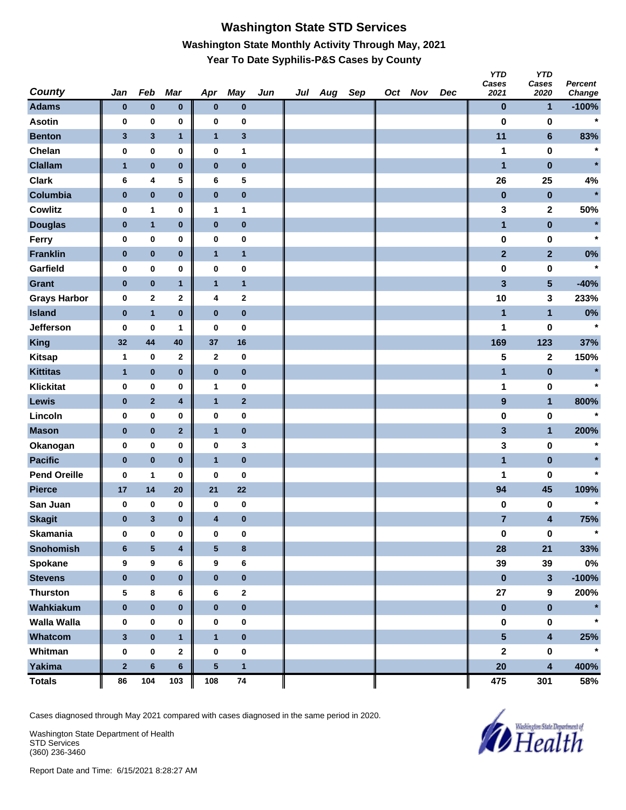# **Washington State STD Services Washington State Monthly Activity Through May, 2021 Year To Date Syphilis-P&S Cases by County**

|                               |                |                   |                         |                          |                  |     |         |     |         |     | טוץ<br>Cases     | YID<br>Cases            | <b>Percent</b>     |
|-------------------------------|----------------|-------------------|-------------------------|--------------------------|------------------|-----|---------|-----|---------|-----|------------------|-------------------------|--------------------|
| <b>County</b><br><b>Adams</b> | Jan            | Feb               | Mar                     | Apr                      | <b>May</b>       | Jun | Jul Aug | Sep | Oct Nov | Dec | 2021             | 2020                    | Change             |
| <b>Asotin</b>                 | $\bf{0}$       | $\pmb{0}$         | $\bf{0}$                | $\bf{0}$                 | $\bf{0}$         |     |         |     |         |     | $\bf{0}$         | $\mathbf{1}$            | $-100%$<br>$\star$ |
|                               | 0              | 0                 | 0                       | 0                        | 0                |     |         |     |         |     | $\bf{0}$         | 0                       |                    |
| <b>Benton</b><br>Chelan       | 3<br>0         | $\mathbf{3}$<br>0 | $\mathbf{1}$<br>0       | $\mathbf{1}$<br>$\bf{0}$ | $\mathbf 3$<br>1 |     |         |     |         |     | 11<br>1          | $\bf 6$<br>0            | 83%<br>$\star$     |
| <b>Clallam</b>                | $\mathbf{1}$   | $\pmb{0}$         | $\bf{0}$                | $\bf{0}$                 | $\pmb{0}$        |     |         |     |         |     | $\blacksquare$   | $\pmb{0}$               | $\star$            |
| <b>Clark</b>                  | 6              | 4                 | 5                       | 6                        | 5                |     |         |     |         |     | 26               | 25                      | 4%                 |
| Columbia                      | $\pmb{0}$      | $\pmb{0}$         | $\bf{0}$                | $\pmb{0}$                | $\pmb{0}$        |     |         |     |         |     | $\bf{0}$         | $\bf{0}$                | $\star$            |
| <b>Cowlitz</b>                | 0              | 1                 | 0                       | $\mathbf{1}$             | 1                |     |         |     |         |     | 3                | 2                       | 50%                |
| <b>Douglas</b>                | $\bf{0}$       | $\mathbf{1}$      | $\pmb{0}$               | $\bf{0}$                 | $\pmb{0}$        |     |         |     |         |     | $\mathbf{1}$     | $\pmb{0}$               | $\star$            |
| Ferry                         | 0              | $\pmb{0}$         | 0                       | $\bf{0}$                 | 0                |     |         |     |         |     | $\pmb{0}$        | 0                       | $\star$            |
| <b>Franklin</b>               | $\bf{0}$       | $\pmb{0}$         | $\pmb{0}$               | $\mathbf{1}$             | $\mathbf{1}$     |     |         |     |         |     | $\overline{2}$   | $\overline{2}$          | 0%                 |
| Garfield                      | 0              | $\pmb{0}$         | 0                       | $\bf{0}$                 | 0                |     |         |     |         |     | 0                | 0                       | $\star$            |
| <b>Grant</b>                  | $\pmb{0}$      | $\pmb{0}$         | $\mathbf{1}$            | $\mathbf{1}$             | $\mathbf{1}$     |     |         |     |         |     | 3                | $5\phantom{.0}$         | $-40%$             |
| <b>Grays Harbor</b>           | 0              | $\mathbf{2}$      | 2                       | 4                        | $\mathbf{2}$     |     |         |     |         |     | 10               | 3                       | 233%               |
| <b>Island</b>                 | $\pmb{0}$      | $\mathbf{1}$      | $\bf{0}$                | $\bf{0}$                 | $\pmb{0}$        |     |         |     |         |     | $\mathbf{1}$     | $\mathbf{1}$            | $0\%$              |
| Jefferson                     | 0              | $\pmb{0}$         | 1                       | $\bf{0}$                 | $\pmb{0}$        |     |         |     |         |     | 1                | 0                       | $\star$            |
| King                          | 32             | 44                | 40                      | 37                       | 16               |     |         |     |         |     | 169              | 123                     | 37%                |
| <b>Kitsap</b>                 | 1              | $\pmb{0}$         | $\mathbf 2$             | $\mathbf{2}$             | $\pmb{0}$        |     |         |     |         |     | 5                | $\mathbf 2$             | 150%               |
| <b>Kittitas</b>               | $\mathbf{1}$   | $\pmb{0}$         | $\pmb{0}$               | $\bf{0}$                 | $\pmb{0}$        |     |         |     |         |     | $\mathbf{1}$     | $\pmb{0}$               | $\star$            |
| <b>Klickitat</b>              | 0              | $\pmb{0}$         | 0                       | $\mathbf{1}$             | 0                |     |         |     |         |     | 1                | 0                       | $\star$            |
| Lewis                         | $\bf{0}$       | $\mathbf{2}$      | 4                       | $\mathbf{1}$             | $\mathbf{2}$     |     |         |     |         |     | $\boldsymbol{9}$ | $\mathbf{1}$            | 800%               |
| Lincoln                       | 0              | $\pmb{0}$         | 0                       | $\bf{0}$                 | 0                |     |         |     |         |     | 0                | 0                       |                    |
| <b>Mason</b>                  | $\pmb{0}$      | $\pmb{0}$         | $\mathbf 2$             | $\mathbf{1}$             | $\pmb{0}$        |     |         |     |         |     | 3                | $\mathbf{1}$            | 200%               |
| Okanogan                      | 0              | $\bf{0}$          | 0                       | $\bf{0}$                 | 3                |     |         |     |         |     | 3                | 0                       | $\star$            |
| <b>Pacific</b>                | $\bf{0}$       | $\pmb{0}$         | $\bf{0}$                | $\mathbf{1}$             | $\pmb{0}$        |     |         |     |         |     | $\blacksquare$   | $\pmb{0}$               |                    |
| <b>Pend Oreille</b>           | 0              | 1                 | 0                       | $\bf{0}$                 | $\pmb{0}$        |     |         |     |         |     | 1                | 0                       | $\star$            |
| <b>Pierce</b>                 | 17             | 14                | 20                      | 21                       | 22               |     |         |     |         |     | 94               | 45                      | 109%               |
| San Juan                      | 0              | $\pmb{0}$         | 0                       | 0                        | $\pmb{0}$        |     |         |     |         |     | 0                | 0                       | $\star$            |
| <b>Skagit</b>                 | $\bf{0}$       | $\mathbf{3}$      | $\pmb{0}$               | 4                        | $\pmb{0}$        |     |         |     |         |     | $\overline{7}$   | 4                       | 75%                |
| Skamania                      | $\mathbf 0$    | $\pmb{0}$         | 0                       | $\pmb{0}$                | $\pmb{0}$        |     |         |     |         |     | $\pmb{0}$        | $\mathbf 0$             | $\star$            |
| <b>Snohomish</b>              | $6\phantom{1}$ | ${\bf 5}$         | $\overline{\mathbf{4}}$ | $5\phantom{.0}$          | 8                |     |         |     |         |     | 28               | 21                      | 33%                |
| Spokane                       | 9              | $\boldsymbol{9}$  | 6                       | 9                        | 6                |     |         |     |         |     | 39               | 39                      | $0\%$              |
| <b>Stevens</b>                | $\bf{0}$       | $\pmb{0}$         | $\pmb{0}$               | $\pmb{0}$                | $\pmb{0}$        |     |         |     |         |     | $\pmb{0}$        | $\mathbf{3}$            | $-100%$            |
| <b>Thurston</b>               | 5              | $\bf 8$           | 6                       | 6                        | $\bf{2}$         |     |         |     |         |     | ${\bf 27}$       | $\boldsymbol{9}$        | 200%               |
| Wahkiakum                     | $\pmb{0}$      | $\pmb{0}$         | $\pmb{0}$               | $\pmb{0}$                | $\pmb{0}$        |     |         |     |         |     | $\pmb{0}$        | $\pmb{0}$               | $\star$            |
| <b>Walla Walla</b>            | 0              | $\pmb{0}$         | 0                       | $\pmb{0}$                | $\pmb{0}$        |     |         |     |         |     | 0                | $\pmb{0}$               | $\star$            |
| Whatcom                       | $\mathbf{3}$   | $\pmb{0}$         | $\mathbf{1}$            | $\mathbf{1}$             | $\pmb{0}$        |     |         |     |         |     | $5\phantom{a}$   | $\overline{\mathbf{4}}$ | 25%                |
| Whitman                       | 0              | $\pmb{0}$         | $\mathbf 2$             | $\pmb{0}$                | $\pmb{0}$        |     |         |     |         |     | $\boldsymbol{2}$ | $\pmb{0}$               | $\star$            |
| Yakima                        | $\mathbf{2}$   | $\bf 6$           | $6\phantom{a}$          | ${\bf 5}$                | $\mathbf{1}$     |     |         |     |         |     | 20               | $\overline{\mathbf{4}}$ | 400%               |
| <b>Totals</b>                 | 86             | 104               | 103                     | 108                      | 74               |     |         |     |         |     | 475              | 301                     | 58%                |

Cases diagnosed through May 2021 compared with cases diagnosed in the same period in 2020.

Washington State Department of Health STD Services (360) 236-3460



*YTD* 

*YTD*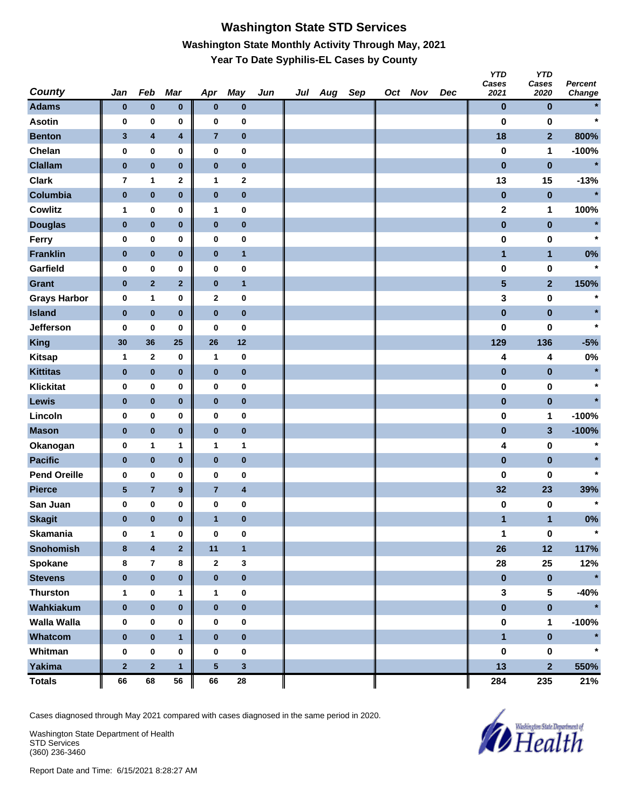# **Washington State STD Services Washington State Monthly Activity Through May, 2021 Year To Date Syphilis-EL Cases by County**

| <b>County</b>       | Jan            | Feb                     | Mar                     | Apr            | <b>May</b>              | Jun | Jul Aug | Sep | Oct Nov | Dec | <b>YTD</b><br>Cases<br>2021 | <b>YTD</b><br>Cases<br>2020 | Percent<br>Change |
|---------------------|----------------|-------------------------|-------------------------|----------------|-------------------------|-----|---------|-----|---------|-----|-----------------------------|-----------------------------|-------------------|
| <b>Adams</b>        | $\bf{0}$       | $\pmb{0}$               | $\pmb{0}$               | $\bf{0}$       | $\pmb{0}$               |     |         |     |         |     | $\bf{0}$                    | $\bf{0}$                    |                   |
| <b>Asotin</b>       | 0              | $\pmb{0}$               | 0                       | $\bf{0}$       | $\bf{0}$                |     |         |     |         |     | $\bf{0}$                    | $\bf{0}$                    | $\star$           |
| <b>Benton</b>       | $\mathbf{3}$   | 4                       | $\overline{\mathbf{4}}$ | $\overline{7}$ | $\pmb{0}$               |     |         |     |         |     | 18                          | $\overline{2}$              | 800%              |
| Chelan              | 0              | $\pmb{0}$               | 0                       | $\pmb{0}$      | $\pmb{0}$               |     |         |     |         |     | $\pmb{0}$                   | 1                           | $-100%$           |
| <b>Clallam</b>      | $\pmb{0}$      | $\pmb{0}$               | $\bf{0}$                | $\pmb{0}$      | $\pmb{0}$               |     |         |     |         |     | $\pmb{0}$                   | $\pmb{0}$                   | $\star$           |
| <b>Clark</b>        | $\overline{7}$ | $\mathbf{1}$            | $\mathbf 2$             | $\mathbf{1}$   | $\boldsymbol{2}$        |     |         |     |         |     | 13                          | 15                          | $-13%$            |
| Columbia            | $\pmb{0}$      | $\pmb{0}$               | $\pmb{0}$               | $\pmb{0}$      | $\pmb{0}$               |     |         |     |         |     | $\pmb{0}$                   | $\pmb{0}$                   | $\star$           |
| <b>Cowlitz</b>      | 1              | 0                       | 0                       | $\mathbf{1}$   | 0                       |     |         |     |         |     | $\mathbf 2$                 | 1                           | 100%              |
| <b>Douglas</b>      | $\bf{0}$       | $\pmb{0}$               | $\pmb{0}$               | $\pmb{0}$      | $\pmb{0}$               |     |         |     |         |     | $\pmb{0}$                   | $\pmb{0}$                   | $\star$           |
| Ferry               | 0              | $\pmb{0}$               | 0                       | $\bf{0}$       | $\pmb{0}$               |     |         |     |         |     | 0                           | 0                           | $\star$           |
| <b>Franklin</b>     | $\pmb{0}$      | $\pmb{0}$               | $\pmb{0}$               | $\bf{0}$       | $\mathbf{1}$            |     |         |     |         |     | $\blacksquare$              | $\mathbf{1}$                | $0\%$             |
| Garfield            | 0              | $\pmb{0}$               | 0                       | 0              | $\pmb{0}$               |     |         |     |         |     | $\pmb{0}$                   | 0                           | $\star$           |
| <b>Grant</b>        | $\pmb{0}$      | $\mathbf 2$             | $\mathbf{2}$            | $\pmb{0}$      | $\mathbf{1}$            |     |         |     |         |     | $\overline{\mathbf{5}}$     | $\overline{2}$              | 150%              |
| <b>Grays Harbor</b> | 0              | 1                       | $\pmb{0}$               | $\mathbf{2}$   | $\pmb{0}$               |     |         |     |         |     | 3                           | $\pmb{0}$                   | $\ast$            |
| <b>Island</b>       | $\pmb{0}$      | $\pmb{0}$               | $\bf{0}$                | $\pmb{0}$      | $\pmb{0}$               |     |         |     |         |     | $\pmb{0}$                   | $\pmb{0}$                   |                   |
| Jefferson           | 0              | 0                       | 0                       | 0              | 0                       |     |         |     |         |     | $\bf{0}$                    | 0                           | $\star$           |
| <b>King</b>         | 30             | 36                      | 25                      | 26             | 12                      |     |         |     |         |     | 129                         | 136                         | $-5%$             |
| <b>Kitsap</b>       | $\mathbf{1}$   | $\mathbf{2}$            | 0                       | $\mathbf{1}$   | 0                       |     |         |     |         |     | 4                           | 4                           | 0%                |
| <b>Kittitas</b>     | $\pmb{0}$      | $\pmb{0}$               | $\pmb{0}$               | $\bf{0}$       | $\pmb{0}$               |     |         |     |         |     | $\pmb{0}$                   | $\pmb{0}$                   | $\star$           |
| <b>Klickitat</b>    | 0              | $\pmb{0}$               | 0                       | $\bf{0}$       | $\pmb{0}$               |     |         |     |         |     | 0                           | $\pmb{0}$                   | $\star$           |
| Lewis               | $\bf{0}$       | $\pmb{0}$               | $\pmb{0}$               | $\bf{0}$       | $\pmb{0}$               |     |         |     |         |     | $\pmb{0}$                   | $\pmb{0}$                   |                   |
| Lincoln             | 0              | $\pmb{0}$               | 0                       | 0              | $\pmb{0}$               |     |         |     |         |     | $\bf{0}$                    | 1                           | $-100%$           |
| <b>Mason</b>        | $\pmb{0}$      | $\pmb{0}$               | $\pmb{0}$               | $\pmb{0}$      | $\bf{0}$                |     |         |     |         |     | $\pmb{0}$                   | $\mathbf{3}$                | $-100%$           |
| Okanogan            | 0              | 1                       | 1                       | 1              | $\mathbf{1}$            |     |         |     |         |     | 4                           | $\pmb{0}$                   | $\ast$            |
| <b>Pacific</b>      | $\pmb{0}$      | $\pmb{0}$               | $\bf{0}$                | $\pmb{0}$      | $\pmb{0}$               |     |         |     |         |     | $\pmb{0}$                   | $\pmb{0}$                   |                   |
| <b>Pend Oreille</b> | 0              | 0                       | 0                       | 0              | $\mathbf 0$             |     |         |     |         |     | 0                           | 0                           | $\star$           |
| <b>Pierce</b>       | ${\bf 5}$      | $\overline{\mathbf{7}}$ | $\boldsymbol{9}$        | $\overline{7}$ | $\overline{\mathbf{4}}$ |     |         |     |         |     | 32                          | 23                          | 39%               |
| San Juan            | 0              | 0                       | 0                       | 0              | 0                       |     |         |     |         |     | 0                           | 0                           | $\star$           |
| <b>Skagit</b>       | $\bf{0}$       | $\bf{0}$                | $\bf{0}$                | $\mathbf{1}$   | $\pmb{0}$               |     |         |     |         |     | 1                           | 1                           | 0%                |
| <b>Skamania</b>     | 0              | $\mathbf{1}$            | $\pmb{0}$               | $\bf{0}$       | $\pmb{0}$               |     |         |     |         |     | 1                           | $\pmb{0}$                   | $\star$           |
| <b>Snohomish</b>    | 8              | 4                       | $\overline{\mathbf{2}}$ | 11             | $\mathbf{1}$            |     |         |     |         |     | 26                          | 12                          | 117%              |
| <b>Spokane</b>      | 8              | $\overline{7}$          | 8                       | $\mathbf{2}$   | $\mathbf 3$             |     |         |     |         |     | 28                          | 25                          | 12%               |
| <b>Stevens</b>      | $\pmb{0}$      | $\pmb{0}$               | $\pmb{0}$               | $\bf{0}$       | $\pmb{0}$               |     |         |     |         |     | $\pmb{0}$                   | $\pmb{0}$                   | $\star$           |
| <b>Thurston</b>     | $\mathbf{1}$   | $\pmb{0}$               | 1                       | 1              | $\pmb{0}$               |     |         |     |         |     | 3                           | $\sqrt{5}$                  | $-40%$            |
| Wahkiakum           | $\pmb{0}$      | $\pmb{0}$               | $\pmb{0}$               | $\pmb{0}$      | $\bf{0}$                |     |         |     |         |     | $\pmb{0}$                   | $\pmb{0}$                   | $\star$           |
| Walla Walla         | 0              | 0                       | 0                       | 0              | 0                       |     |         |     |         |     | $\pmb{0}$                   | $\mathbf 1$                 | $-100%$           |
| Whatcom             | $\pmb{0}$      | $\pmb{0}$               | $\mathbf{1}$            | $\bf{0}$       | $\pmb{0}$               |     |         |     |         |     | $\mathbf{1}$                | $\pmb{0}$                   |                   |
| Whitman             | $\bf{0}$       | $\pmb{0}$               | $\pmb{0}$               | $\bf{0}$       | $\pmb{0}$               |     |         |     |         |     | $\pmb{0}$                   | $\pmb{0}$                   | $\star$           |
| <b>Yakima</b>       | $\mathbf 2$    | $\overline{2}$          | $\mathbf{1}$            | $\sqrt{5}$     | $\mathbf 3$             |     |         |     |         |     | 13                          | $\overline{2}$              | 550%              |
| <b>Totals</b>       | 66             | 68                      | 56                      | 66             | 28                      |     |         |     |         |     | 284                         | 235                         | 21%               |

Cases diagnosed through May 2021 compared with cases diagnosed in the same period in 2020.

Washington State Department of Health STD Services (360) 236-3460

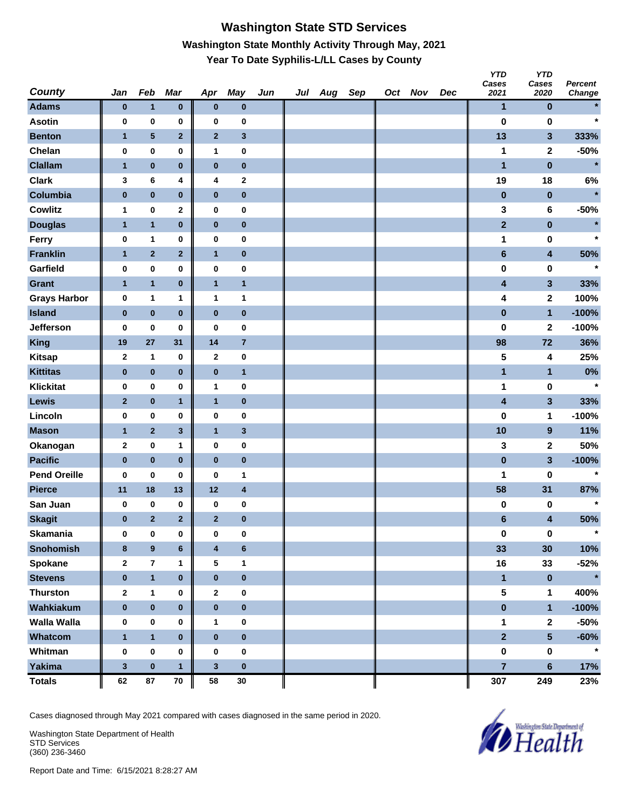## **Washington State STD Services Washington State Monthly Activity Through May, 2021 Year To Date Syphilis-L/LL Cases by County**

| <b>County</b>       | Jan          | Feb            | Mar                     | Apr                     | <b>May</b>              | Jun | Jul Aug | Sep | Oct Nov | Dec | <b>YTD</b><br>Cases<br>2021 | <b>YTD</b><br>Cases<br>2020 | Percent<br>Change |
|---------------------|--------------|----------------|-------------------------|-------------------------|-------------------------|-----|---------|-----|---------|-----|-----------------------------|-----------------------------|-------------------|
| <b>Adams</b>        | $\bf{0}$     | $\mathbf{1}$   | $\pmb{0}$               | $\bf{0}$                | $\pmb{0}$               |     |         |     |         |     | $\mathbf{1}$                | $\pmb{0}$                   |                   |
| <b>Asotin</b>       | 0            | $\pmb{0}$      | 0                       | $\bf{0}$                | $\bf{0}$                |     |         |     |         |     | $\bf{0}$                    | $\bf{0}$                    | $\star$           |
| <b>Benton</b>       | $\mathbf{1}$ | 5              | $\overline{\mathbf{2}}$ | $\mathbf{2}$            | $\mathbf{3}$            |     |         |     |         |     | 13                          | $\mathbf{3}$                | 333%              |
| Chelan              | 0            | $\pmb{0}$      | $\pmb{0}$               | 1                       | $\pmb{0}$               |     |         |     |         |     | 1                           | $\mathbf 2$                 | $-50%$            |
| <b>Clallam</b>      | $\mathbf{1}$ | $\pmb{0}$      | $\bf{0}$                | $\pmb{0}$               | $\pmb{0}$               |     |         |     |         |     | $\mathbf{1}$                | $\pmb{0}$                   | $\ast$            |
| <b>Clark</b>        | 3            | 6              | 4                       | 4                       | $\mathbf{2}$            |     |         |     |         |     | 19                          | 18                          | $6\%$             |
| Columbia            | $\pmb{0}$    | $\pmb{0}$      | $\pmb{0}$               | $\pmb{0}$               | $\pmb{0}$               |     |         |     |         |     | $\pmb{0}$                   | $\pmb{0}$                   | $\star$           |
| <b>Cowlitz</b>      | 1            | $\pmb{0}$      | $\mathbf 2$             | 0                       | 0                       |     |         |     |         |     | 3                           | 6                           | $-50%$            |
| <b>Douglas</b>      | 1            | $\mathbf{1}$   | $\pmb{0}$               | $\bf{0}$                | $\pmb{0}$               |     |         |     |         |     | $\mathbf{2}$                | $\pmb{0}$                   | $\star$           |
| Ferry               | 0            | 1              | 0                       | $\bf{0}$                | $\pmb{0}$               |     |         |     |         |     | 1                           | 0                           | $\star$           |
| <b>Franklin</b>     | $\mathbf{1}$ | $\mathbf{2}$   | $\mathbf 2$             | $\mathbf{1}$            | $\pmb{0}$               |     |         |     |         |     | $\bf 6$                     | 4                           | 50%               |
| Garfield            | 0            | $\pmb{0}$      | 0                       | $\bf{0}$                | $\pmb{0}$               |     |         |     |         |     | $\pmb{0}$                   | 0                           | $\star$           |
| <b>Grant</b>        | $\mathbf{1}$ | $\mathbf{1}$   | $\pmb{0}$               | $\mathbf{1}$            | $\mathbf{1}$            |     |         |     |         |     | $\overline{\mathbf{4}}$     | $\mathbf{3}$                | 33%               |
| <b>Grays Harbor</b> | 0            | 1              | 1                       | 1                       | $\mathbf{1}$            |     |         |     |         |     | 4                           | $\mathbf{2}$                | 100%              |
| <b>Island</b>       | $\pmb{0}$    | $\pmb{0}$      | $\bf{0}$                | $\pmb{0}$               | $\pmb{0}$               |     |         |     |         |     | $\pmb{0}$                   | $\mathbf{1}$                | $-100%$           |
| Jefferson           | 0            | 0              | 0                       | 0                       | 0                       |     |         |     |         |     | 0                           | $\mathbf 2$                 | $-100%$           |
| <b>King</b>         | 19           | 27             | 31                      | 14                      | $\overline{7}$          |     |         |     |         |     | 98                          | 72                          | 36%               |
| <b>Kitsap</b>       | $\mathbf{2}$ | 1              | 0                       | $\mathbf{2}$            | $\pmb{0}$               |     |         |     |         |     | 5                           | 4                           | 25%               |
| <b>Kittitas</b>     | $\pmb{0}$    | $\pmb{0}$      | $\pmb{0}$               | $\pmb{0}$               | $\mathbf{1}$            |     |         |     |         |     | $\mathbf{1}$                | $\mathbf{1}$                | 0%                |
| <b>Klickitat</b>    | 0            | $\pmb{0}$      | $\pmb{0}$               | 1                       | $\pmb{0}$               |     |         |     |         |     | 1                           | $\pmb{0}$                   | $\star$           |
| Lewis               | $\mathbf{2}$ | $\pmb{0}$      | 1                       | $\mathbf{1}$            | $\pmb{0}$               |     |         |     |         |     | 4                           | $\mathbf{3}$                | 33%               |
| Lincoln             | 0            | $\pmb{0}$      | 0                       | $\bf{0}$                | $\pmb{0}$               |     |         |     |         |     | $\bf{0}$                    | 1                           | $-100%$           |
| <b>Mason</b>        | $\mathbf{1}$ | $\mathbf 2$    | $\mathbf{3}$            | $\mathbf{1}$            | $\mathbf{3}$            |     |         |     |         |     | 10                          | $\boldsymbol{9}$            | 11%               |
| Okanogan            | $\mathbf 2$  | $\pmb{0}$      | 1                       | 0                       | $\pmb{0}$               |     |         |     |         |     | 3                           | $\mathbf 2$                 | 50%               |
| <b>Pacific</b>      | $\pmb{0}$    | $\pmb{0}$      | $\bf{0}$                | $\pmb{0}$               | $\pmb{0}$               |     |         |     |         |     | $\pmb{0}$                   | $\mathbf{3}$                | $-100%$           |
| <b>Pend Oreille</b> | 0            | 0              | 0                       | 0                       | $\mathbf{1}$            |     |         |     |         |     | 1                           | 0                           | $\star$           |
| <b>Pierce</b>       | 11           | 18             | 13                      | 12                      | $\overline{\mathbf{4}}$ |     |         |     |         |     | 58                          | 31                          | 87%               |
| San Juan            | 0            | $\pmb{0}$      | 0                       | 0                       | 0                       |     |         |     |         |     | 0                           | 0                           | $\star$           |
| <b>Skagit</b>       | $\bf{0}$     | $\overline{2}$ | $\overline{2}$          | $\overline{2}$          | $\pmb{0}$               |     |         |     |         |     | $6\phantom{1}$              | 4                           | 50%               |
| <b>Skamania</b>     | 0            | $\pmb{0}$      | $\pmb{0}$               | $\bf{0}$                | 0                       |     |         |     |         |     | $\pmb{0}$                   | $\pmb{0}$                   | $\star$           |
| <b>Snohomish</b>    | 8            | $\pmb{9}$      | $\bf 6$                 | $\overline{\mathbf{4}}$ | $\bf 6$                 |     |         |     |         |     | 33                          | 30                          | 10%               |
| Spokane             | $\mathbf{2}$ | $\overline{7}$ | 1                       | 5                       | $\mathbf{1}$            |     |         |     |         |     | 16                          | 33                          | $-52%$            |
| <b>Stevens</b>      | $\bf{0}$     | $\mathbf{1}$   | $\pmb{0}$               | $\bf{0}$                | $\pmb{0}$               |     |         |     |         |     | $\blacksquare$              | $\pmb{0}$                   | $\star$           |
| <b>Thurston</b>     | $\mathbf{2}$ | $\mathbf{1}$   | 0                       | $\mathbf 2$             | $\pmb{0}$               |     |         |     |         |     | 5                           | $\mathbf 1$                 | 400%              |
| Wahkiakum           | $\pmb{0}$    | $\pmb{0}$      | $\pmb{0}$               | $\pmb{0}$               | $\mathbf 0$             |     |         |     |         |     | $\pmb{0}$                   | $\mathbf{1}$                | $-100%$           |
| <b>Walla Walla</b>  | 0            | 0              | 0                       | 1                       | 0                       |     |         |     |         |     | $\mathbf 1$                 | $\mathbf 2$                 | $-50%$            |
| Whatcom             | $\mathbf{1}$ | $\mathbf{1}$   | $\bf{0}$                | $\pmb{0}$               | $\pmb{0}$               |     |         |     |         |     | $\overline{2}$              | $5\phantom{a}$              | $-60%$            |
| Whitman             | $\bf{0}$     | $\pmb{0}$      | 0                       | $\bf{0}$                | $\pmb{0}$               |     |         |     |         |     | 0                           | 0                           | $\star$           |
| <b>Yakima</b>       | $\mathbf{3}$ | $\pmb{0}$      | $\mathbf{1}$            | $\mathbf{3}$            | $\pmb{0}$               |     |         |     |         |     | $\overline{7}$              | $6\phantom{a}$              | 17%               |
| <b>Totals</b>       | 62           | 87             | ${\bf 70}$              | 58                      | $30\,$                  |     |         |     |         |     | 307                         | 249                         | 23%               |

Cases diagnosed through May 2021 compared with cases diagnosed in the same period in 2020.

Washington State Department of Health STD Services (360) 236-3460